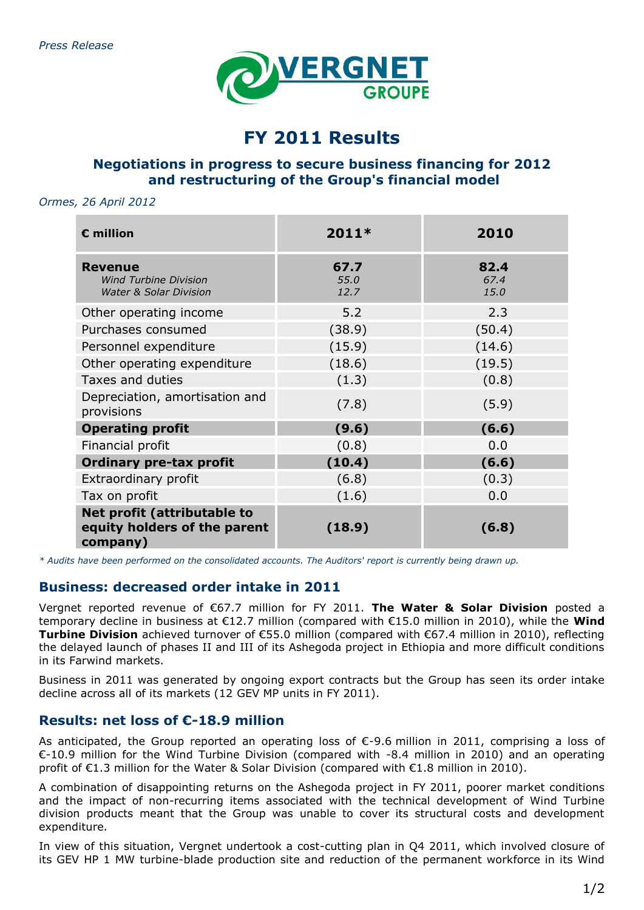

# **FY 2011 Results**

# **Negotiations in progress to secure business financing for 2012 and restructuring of the Group's financial model**

#### *Ormes, 26 April 2012*

| $E$ million                                                                         | $2011*$              | 2010                 |
|-------------------------------------------------------------------------------------|----------------------|----------------------|
| <b>Revenue</b><br><b>Wind Turbine Division</b><br><b>Water &amp; Solar Division</b> | 67.7<br>55.0<br>12.7 | 82.4<br>67.4<br>15.0 |
| Other operating income<br>Purchases consumed                                        | 5.2<br>(38.9)        | 2.3<br>(50.4)        |
| Personnel expenditure                                                               | (15.9)               | (14.6)               |
| Other operating expenditure                                                         | (18.6)               | (19.5)               |
| Taxes and duties                                                                    | (1.3)                | (0.8)                |
| Depreciation, amortisation and<br>provisions                                        | (7.8)                | (5.9)                |
| <b>Operating profit</b>                                                             | (9.6)                | (6.6)                |
| Financial profit                                                                    | (0.8)                | 0.0                  |
| <b>Ordinary pre-tax profit</b>                                                      | (10.4)               | (6.6)                |
| Extraordinary profit                                                                | (6.8)                | (0.3)                |
| Tax on profit                                                                       | (1.6)                | 0.0                  |
| Net profit (attributable to<br>equity holders of the parent<br>company)             | (18.9)               | (6.8)                |

*\* Audits have been performed on the consolidated accounts. The Auditors' report is currently being drawn up.*

## **Business: decreased order intake in 2011**

Vergnet reported revenue of €67.7 million for FY 2011. **The Water & Solar Division** posted a temporary decline in business at €12.7 million (compared with €15.0 million in 2010), while the **Wind Turbine Division** achieved turnover of €55.0 million (compared with €67.4 million in 2010), reflecting the delayed launch of phases II and III of its Ashegoda project in Ethiopia and more difficult conditions in its Farwind markets.

Business in 2011 was generated by ongoing export contracts but the Group has seen its order intake decline across all of its markets (12 GEV MP units in FY 2011).

## **Results: net loss of €-18.9 million**

As anticipated, the Group reported an operating loss of €-9.6 million in 2011, comprising a loss of €-10.9 million for the Wind Turbine Division (compared with -8.4 million in 2010) and an operating profit of €1.3 million for the Water & Solar Division (compared with €1.8 million in 2010).

A combination of disappointing returns on the Ashegoda project in FY 2011, poorer market conditions and the impact of non-recurring items associated with the technical development of Wind Turbine division products meant that the Group was unable to cover its structural costs and development expenditure.

In view of this situation, Vergnet undertook a cost-cutting plan in Q4 2011, which involved closure of its GEV HP 1 MW turbine-blade production site and reduction of the permanent workforce in its Wind